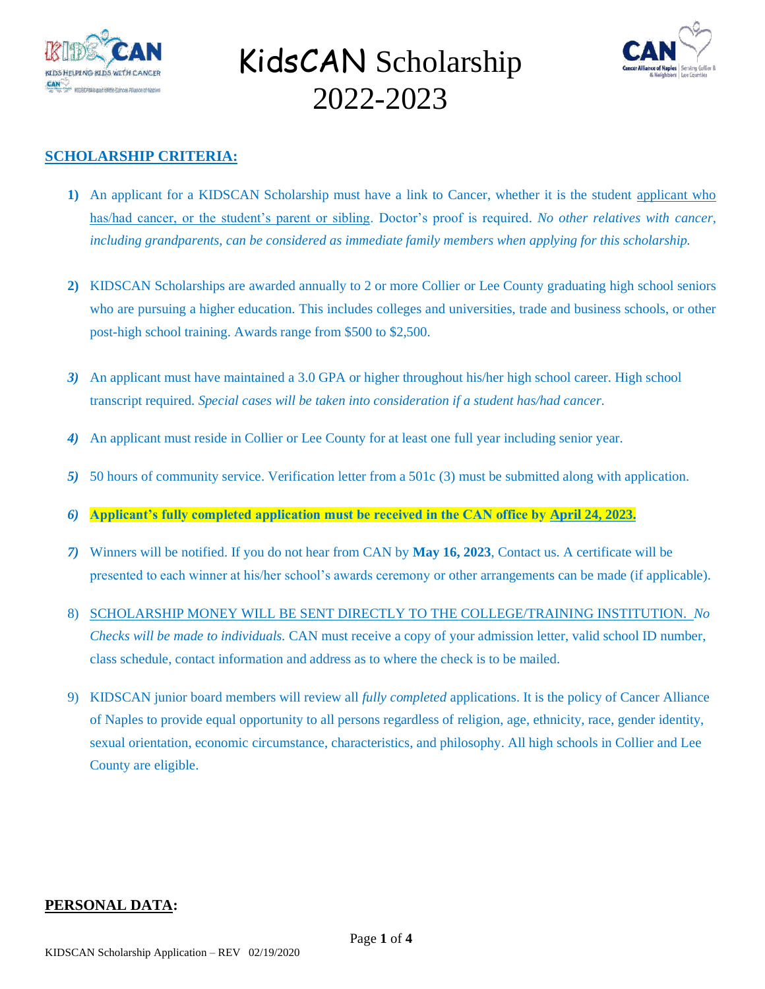



### **SCHOLARSHIP CRITERIA:**

- **1)** An applicant for a KIDSCAN Scholarship must have a link to Cancer, whether it is the student applicant who has/had cancer, or the student's parent or sibling. Doctor's proof is required. *No other relatives with cancer, including grandparents, can be considered as immediate family members when applying for this scholarship.*
- **2)** KIDSCAN Scholarships are awarded annually to 2 or more Collier or Lee County graduating high school seniors who are pursuing a higher education. This includes colleges and universities, trade and business schools, or other post-high school training. Awards range from \$500 to \$2,500.
- *3)* An applicant must have maintained a 3.0 GPA or higher throughout his/her high school career. High school transcript required. *Special cases will be taken into consideration if a student has/had cancer.*
- *4)* An applicant must reside in Collier or Lee County for at least one full year including senior year.
- *5)* 50 hours of community service. Verification letter from a 501c (3) must be submitted along with application.
- *6)* **Applicant's fully completed application must be received in the CAN office by April 24, 2023.**
- *7)* Winners will be notified. If you do not hear from CAN by **May 16, 2023**, Contact us. A certificate will be presented to each winner at his/her school's awards ceremony or other arrangements can be made (if applicable).
- 8) SCHOLARSHIP MONEY WILL BE SENT DIRECTLY TO THE COLLEGE/TRAINING INSTITUTION. *No Checks will be made to individuals.* CAN must receive a copy of your admission letter, valid school ID number, class schedule, contact information and address as to where the check is to be mailed.
- 9) KIDSCAN junior board members will review all *fully completed* applications. It is the policy of Cancer Alliance of Naples to provide equal opportunity to all persons regardless of religion, age, ethnicity, race, gender identity, sexual orientation, economic circumstance, characteristics, and philosophy. All high schools in Collier and Lee County are eligible.

#### **PERSONAL DATA:**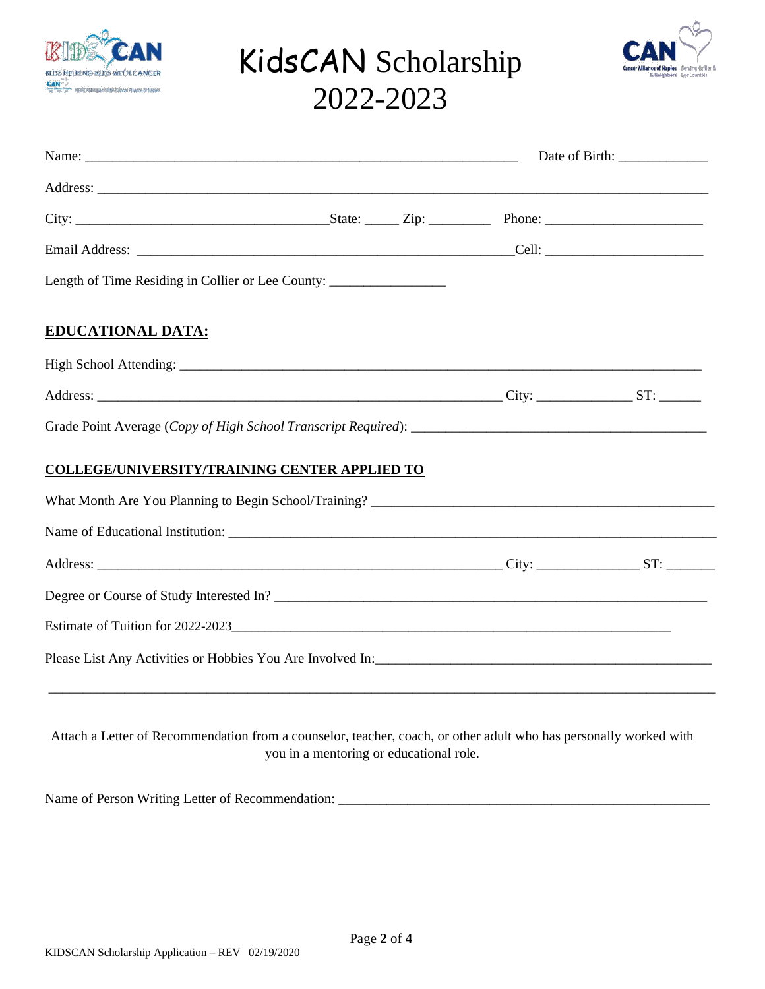



|                                                                                                                   | Date of Birth: ______________ |  |  |
|-------------------------------------------------------------------------------------------------------------------|-------------------------------|--|--|
|                                                                                                                   |                               |  |  |
|                                                                                                                   |                               |  |  |
|                                                                                                                   |                               |  |  |
| Length of Time Residing in Collier or Lee County: ______________________________                                  |                               |  |  |
| <b>EDUCATIONAL DATA:</b>                                                                                          |                               |  |  |
|                                                                                                                   |                               |  |  |
|                                                                                                                   |                               |  |  |
|                                                                                                                   |                               |  |  |
| <b>COLLEGE/UNIVERSITY/TRAINING CENTER APPLIED TO</b>                                                              |                               |  |  |
|                                                                                                                   |                               |  |  |
|                                                                                                                   |                               |  |  |
|                                                                                                                   |                               |  |  |
| Degree or Course of Study Interested In?                                                                          |                               |  |  |
|                                                                                                                   |                               |  |  |
|                                                                                                                   |                               |  |  |
|                                                                                                                   |                               |  |  |
| Attach a Letter of Recommendation from a counselor, teacher, coach, or other adult who has personally worked with |                               |  |  |

you in a mentoring or educational role.

Name of Person Writing Letter of Recommendation: \_\_\_\_\_\_\_\_\_\_\_\_\_\_\_\_\_\_\_\_\_\_\_\_\_\_\_\_\_\_\_\_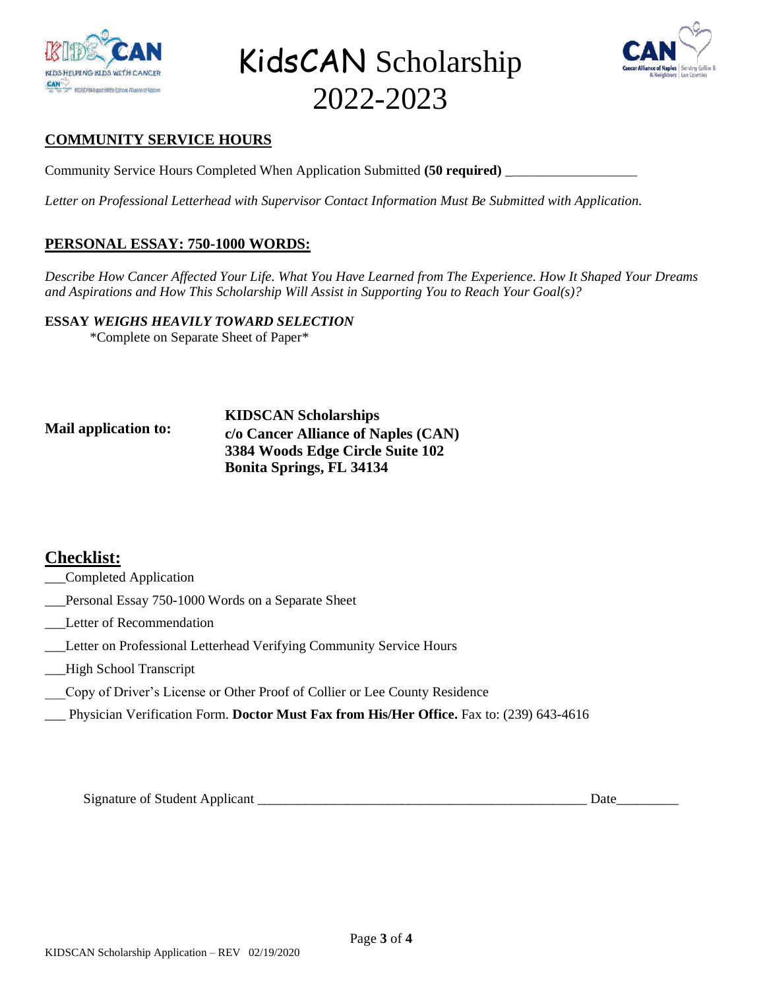



### **COMMUNITY SERVICE HOURS**

Community Service Hours Completed When Application Submitted **(50 required)** \_\_\_\_\_\_\_\_\_\_\_\_\_\_\_\_\_\_\_\_\_

*Letter on Professional Letterhead with Supervisor Contact Information Must Be Submitted with Application.* 

### **PERSONAL ESSAY: 750-1000 WORDS:**

*Describe How Cancer Affected Your Life. What You Have Learned from The Experience. How It Shaped Your Dreams and Aspirations and How This Scholarship Will Assist in Supporting You to Reach Your Goal(s)?* 

**ESSAY** *WEIGHS HEAVILY TOWARD SELECTION*

\*Complete on Separate Sheet of Paper\*

#### **Mail application to: KIDSCAN Scholarships c/o Cancer Alliance of Naples (CAN) 3384 Woods Edge Circle Suite 102 Bonita Springs, FL 34134**

## **Checklist:**

- \_\_\_Completed Application
- \_\_\_Personal Essay 750-1000 Words on a Separate Sheet
- \_\_\_Letter of Recommendation
- \_\_\_Letter on Professional Letterhead Verifying Community Service Hours
- \_\_\_High School Transcript
- \_\_\_Copy of Driver's License or Other Proof of Collier or Lee County Residence
- \_\_\_ Physician Verification Form. **Doctor Must Fax from His/Her Office.** Fax to: (239) 643-4616

Signature of Student Applicant \_\_\_\_\_\_\_\_\_\_\_\_\_\_\_\_\_\_\_\_\_\_\_\_\_\_\_\_\_\_\_\_\_\_\_\_\_\_\_\_\_\_\_\_\_\_\_\_ Date\_\_\_\_\_\_\_\_\_